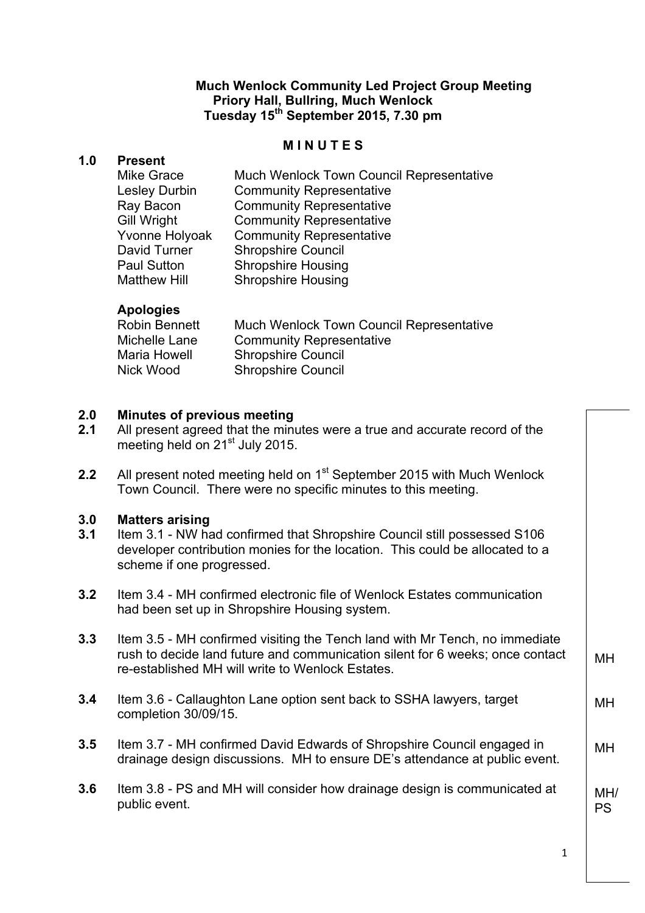#### **Much Wenlock Community Led Project Group Meeting Priory Hall, Bullring, Much Wenlock Tuesday 15th September 2015, 7.30 pm**

# **M I N U T E S**

## **1.0 Present**

| Mike Grace          | Much Wenlock Town Council Representative |
|---------------------|------------------------------------------|
| Lesley Durbin       | <b>Community Representative</b>          |
| Ray Bacon           | <b>Community Representative</b>          |
| <b>Gill Wright</b>  | <b>Community Representative</b>          |
| Yvonne Holyoak      | <b>Community Representative</b>          |
| David Turner        | <b>Shropshire Council</b>                |
| <b>Paul Sutton</b>  | <b>Shropshire Housing</b>                |
| <b>Matthew Hill</b> | <b>Shropshire Housing</b>                |

## **Apologies**

| Robin Bennett | <b>Much Wenlock Town Council Representative</b> |
|---------------|-------------------------------------------------|
| Michelle Lane | <b>Community Representative</b>                 |
| Maria Howell  | <b>Shropshire Council</b>                       |
| Nick Wood     | <b>Shropshire Council</b>                       |

#### **2.0 Minutes of previous meeting**

| 2.1 | All present agreed that the minutes were a true and accurate record of the |
|-----|----------------------------------------------------------------------------|
|     | meeting held on 21 <sup>st</sup> July 2015.                                |

**2.2** All present noted meeting held on 1<sup>st</sup> September 2015 with Much Wenlock Town Council. There were no specific minutes to this meeting.

## **3.0 Matters arising**

- **3.1** Item 3.1 NW had confirmed that Shropshire Council still possessed S106 developer contribution monies for the location. This could be allocated to a scheme if one progressed.
- **3.2** Item 3.4 MH confirmed electronic file of Wenlock Estates communication had been set up in Shropshire Housing system.
- **3.3** Item 3.5 MH confirmed visiting the Tench land with Mr Tench, no immediate rush to decide land future and communication silent for 6 weeks; once contact re-established MH will write to Wenlock Estates. MH
- **3.4** Item 3.6 Callaughton Lane option sent back to SSHA lawyers, target completion 30/09/15.
- **3.5** Item 3.7 MH confirmed David Edwards of Shropshire Council engaged in drainage design discussions. MH to ensure DE's attendance at public event.
- **3.6** Item 3.8 PS and MH will consider how drainage design is communicated at public event. MH/ PS

1

MH

MH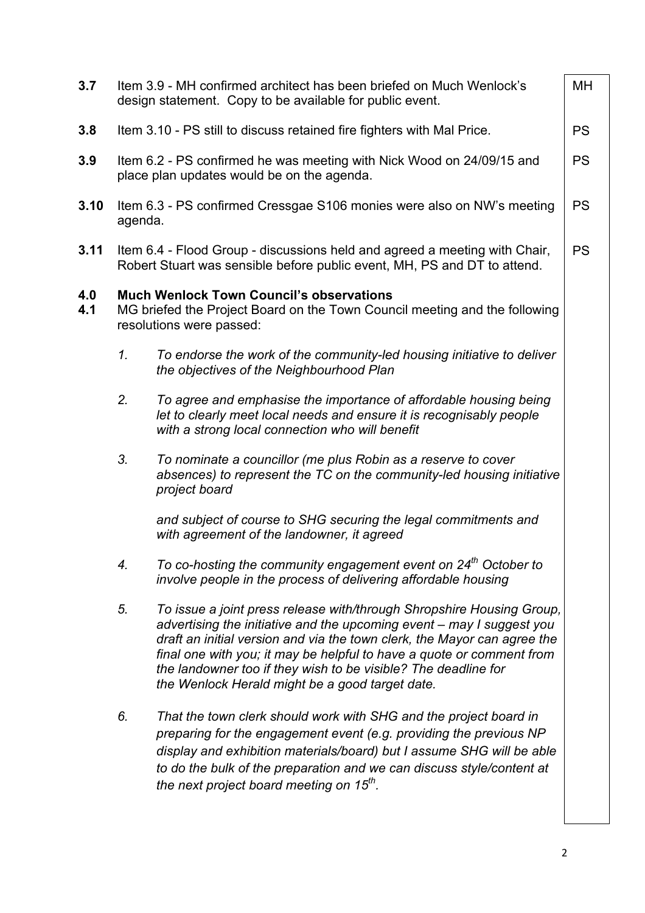| 3.7        |         | Item 3.9 - MH confirmed architect has been briefed on Much Wenlock's<br>design statement. Copy to be available for public event.                                                                                                                                                                                                                                                                                         | МH        |
|------------|---------|--------------------------------------------------------------------------------------------------------------------------------------------------------------------------------------------------------------------------------------------------------------------------------------------------------------------------------------------------------------------------------------------------------------------------|-----------|
| 3.8        |         | Item 3.10 - PS still to discuss retained fire fighters with Mal Price.                                                                                                                                                                                                                                                                                                                                                   | <b>PS</b> |
| 3.9        |         | Item 6.2 - PS confirmed he was meeting with Nick Wood on 24/09/15 and<br>place plan updates would be on the agenda.                                                                                                                                                                                                                                                                                                      | <b>PS</b> |
| 3.10       | agenda. | Item 6.3 - PS confirmed Cressgae S106 monies were also on NW's meeting                                                                                                                                                                                                                                                                                                                                                   | <b>PS</b> |
| 3.11       |         | Item 6.4 - Flood Group - discussions held and agreed a meeting with Chair,<br>Robert Stuart was sensible before public event, MH, PS and DT to attend.                                                                                                                                                                                                                                                                   | <b>PS</b> |
| 4.0<br>4.1 |         | <b>Much Wenlock Town Council's observations</b><br>MG briefed the Project Board on the Town Council meeting and the following<br>resolutions were passed:                                                                                                                                                                                                                                                                |           |
|            | 1.      | To endorse the work of the community-led housing initiative to deliver<br>the objectives of the Neighbourhood Plan                                                                                                                                                                                                                                                                                                       |           |
|            | 2.      | To agree and emphasise the importance of affordable housing being<br>let to clearly meet local needs and ensure it is recognisably people<br>with a strong local connection who will benefit                                                                                                                                                                                                                             |           |
|            | 3.      | To nominate a councillor (me plus Robin as a reserve to cover<br>absences) to represent the TC on the community-led housing initiative<br>project board                                                                                                                                                                                                                                                                  |           |
|            |         | and subject of course to SHG securing the legal commitments and<br>with agreement of the landowner, it agreed                                                                                                                                                                                                                                                                                                            |           |
|            | 4.      | To co-hosting the community engagement event on 24 <sup>th</sup> October to<br>involve people in the process of delivering affordable housing                                                                                                                                                                                                                                                                            |           |
|            | 5.      | To issue a joint press release with/through Shropshire Housing Group,<br>advertising the initiative and the upcoming event – may I suggest you<br>draft an initial version and via the town clerk, the Mayor can agree the<br>final one with you; it may be helpful to have a quote or comment from<br>the landowner too if they wish to be visible? The deadline for<br>the Wenlock Herald might be a good target date. |           |
|            | 6.      | That the town clerk should work with SHG and the project board in<br>preparing for the engagement event (e.g. providing the previous NP<br>display and exhibition materials/board) but I assume SHG will be able<br>to do the bulk of the preparation and we can discuss style/content at<br>the next project board meeting on 15 <sup>th</sup> .                                                                        |           |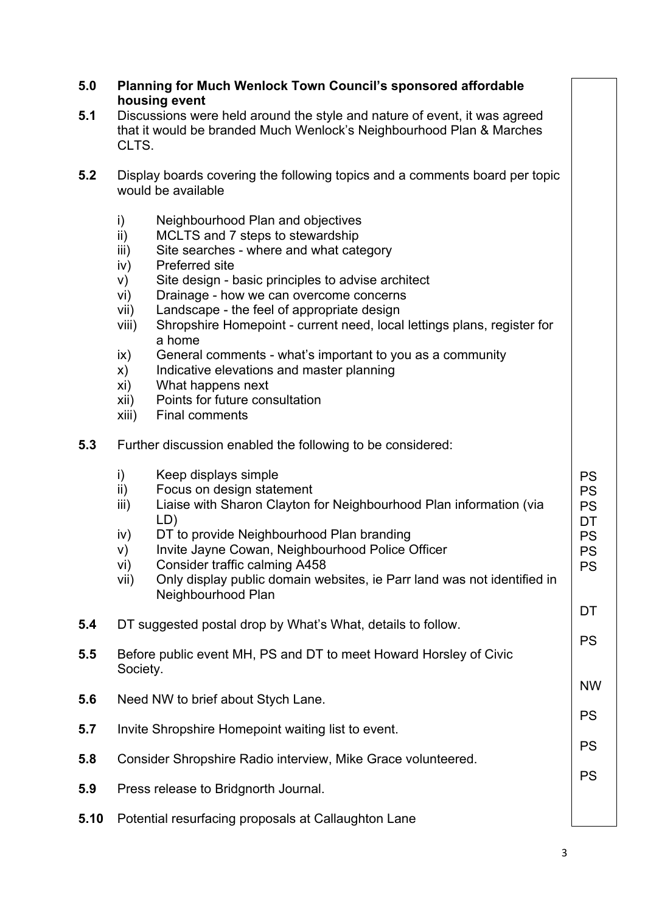| 5.0  | Planning for Much Wenlock Town Council's sponsored affordable<br>housing event                                                                                                                                                                                                                                                                                                                                                                                                                                                                                                                                                                                     |                                                                                        |  |  |
|------|--------------------------------------------------------------------------------------------------------------------------------------------------------------------------------------------------------------------------------------------------------------------------------------------------------------------------------------------------------------------------------------------------------------------------------------------------------------------------------------------------------------------------------------------------------------------------------------------------------------------------------------------------------------------|----------------------------------------------------------------------------------------|--|--|
| 5.1  | Discussions were held around the style and nature of event, it was agreed<br>that it would be branded Much Wenlock's Neighbourhood Plan & Marches<br>CLTS.                                                                                                                                                                                                                                                                                                                                                                                                                                                                                                         |                                                                                        |  |  |
| 5.2  | Display boards covering the following topics and a comments board per topic<br>would be available                                                                                                                                                                                                                                                                                                                                                                                                                                                                                                                                                                  |                                                                                        |  |  |
|      | i)<br>Neighbourhood Plan and objectives<br>ii)<br>MCLTS and 7 steps to stewardship<br>Site searches - where and what category<br>iii)<br>Preferred site<br>iv)<br>Site design - basic principles to advise architect<br>V)<br>Drainage - how we can overcome concerns<br>vi)<br>Landscape - the feel of appropriate design<br>vii)<br>Shropshire Homepoint - current need, local lettings plans, register for<br>viii)<br>a home<br>General comments - what's important to you as a community<br>$\mathsf{ix}$<br>Indicative elevations and master planning<br>X)<br>xi)<br>What happens next<br>Points for future consultation<br>xii)<br>xiii)<br>Final comments |                                                                                        |  |  |
| 5.3  | Further discussion enabled the following to be considered:                                                                                                                                                                                                                                                                                                                                                                                                                                                                                                                                                                                                         |                                                                                        |  |  |
|      | $\mathsf{i}$<br>Keep displays simple<br>ii)<br>Focus on design statement<br>Liaise with Sharon Clayton for Neighbourhood Plan information (via<br>iii)<br>LD)<br>DT to provide Neighbourhood Plan branding<br>iv)<br>Invite Jayne Cowan, Neighbourhood Police Officer<br>V)<br>Consider traffic calming A458<br>vi)<br>Only display public domain websites, ie Parr land was not identified in<br>vii)<br>Neighbourhood Plan                                                                                                                                                                                                                                       | <b>PS</b><br><b>PS</b><br><b>PS</b><br>DT<br><b>PS</b><br><b>PS</b><br><b>PS</b><br>DT |  |  |
| 5.4  | DT suggested postal drop by What's What, details to follow.                                                                                                                                                                                                                                                                                                                                                                                                                                                                                                                                                                                                        |                                                                                        |  |  |
| 5.5  | Before public event MH, PS and DT to meet Howard Horsley of Civic<br>Society.                                                                                                                                                                                                                                                                                                                                                                                                                                                                                                                                                                                      | <b>PS</b>                                                                              |  |  |
| 5.6  | Need NW to brief about Stych Lane.                                                                                                                                                                                                                                                                                                                                                                                                                                                                                                                                                                                                                                 | <b>NW</b><br><b>PS</b>                                                                 |  |  |
| 5.7  | Invite Shropshire Homepoint waiting list to event.                                                                                                                                                                                                                                                                                                                                                                                                                                                                                                                                                                                                                 |                                                                                        |  |  |
| 5.8  | <b>PS</b><br>Consider Shropshire Radio interview, Mike Grace volunteered.                                                                                                                                                                                                                                                                                                                                                                                                                                                                                                                                                                                          |                                                                                        |  |  |
| 5.9  | <b>PS</b><br>Press release to Bridgnorth Journal.                                                                                                                                                                                                                                                                                                                                                                                                                                                                                                                                                                                                                  |                                                                                        |  |  |
| 5.10 | Potential resurfacing proposals at Callaughton Lane                                                                                                                                                                                                                                                                                                                                                                                                                                                                                                                                                                                                                |                                                                                        |  |  |